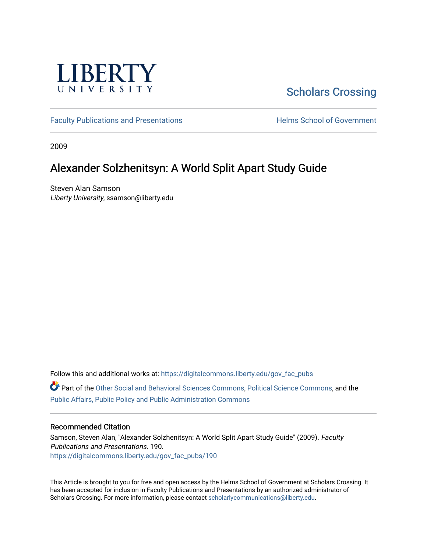

# [Scholars Crossing](https://digitalcommons.liberty.edu/)

[Faculty Publications and Presentations](https://digitalcommons.liberty.edu/gov_fac_pubs) **Exercise School of Government** 

2009

### Alexander Solzhenitsyn: A World Split Apart Study Guide

Steven Alan Samson Liberty University, ssamson@liberty.edu

Follow this and additional works at: [https://digitalcommons.liberty.edu/gov\\_fac\\_pubs](https://digitalcommons.liberty.edu/gov_fac_pubs?utm_source=digitalcommons.liberty.edu%2Fgov_fac_pubs%2F190&utm_medium=PDF&utm_campaign=PDFCoverPages)

Part of the [Other Social and Behavioral Sciences Commons](http://network.bepress.com/hgg/discipline/437?utm_source=digitalcommons.liberty.edu%2Fgov_fac_pubs%2F190&utm_medium=PDF&utm_campaign=PDFCoverPages), [Political Science Commons](http://network.bepress.com/hgg/discipline/386?utm_source=digitalcommons.liberty.edu%2Fgov_fac_pubs%2F190&utm_medium=PDF&utm_campaign=PDFCoverPages), and the [Public Affairs, Public Policy and Public Administration Commons](http://network.bepress.com/hgg/discipline/393?utm_source=digitalcommons.liberty.edu%2Fgov_fac_pubs%2F190&utm_medium=PDF&utm_campaign=PDFCoverPages)

### Recommended Citation

Samson, Steven Alan, "Alexander Solzhenitsyn: A World Split Apart Study Guide" (2009). Faculty Publications and Presentations. 190. [https://digitalcommons.liberty.edu/gov\\_fac\\_pubs/190](https://digitalcommons.liberty.edu/gov_fac_pubs/190?utm_source=digitalcommons.liberty.edu%2Fgov_fac_pubs%2F190&utm_medium=PDF&utm_campaign=PDFCoverPages)

This Article is brought to you for free and open access by the Helms School of Government at Scholars Crossing. It has been accepted for inclusion in Faculty Publications and Presentations by an authorized administrator of Scholars Crossing. For more information, please contact [scholarlycommunications@liberty.edu.](mailto:scholarlycommunications@liberty.edu)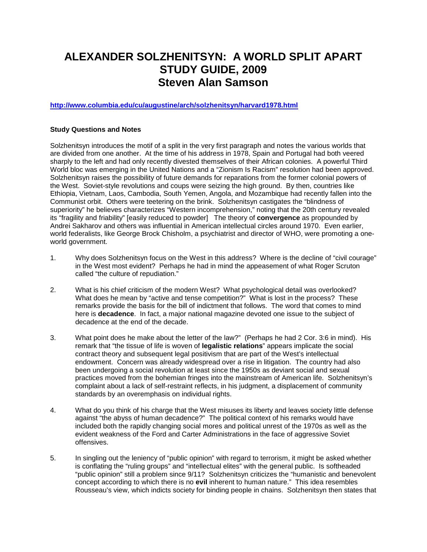## **ALEXANDER SOLZHENITSYN: A WORLD SPLIT APART STUDY GUIDE, 2009 Steven Alan Samson**

**<http://www.columbia.edu/cu/augustine/arch/solzhenitsyn/harvard1978.html>**

#### **Study Questions and Notes**

Solzhenitsyn introduces the motif of a split in the very first paragraph and notes the various worlds that are divided from one another. At the time of his address in 1978, Spain and Portugal had both veered sharply to the left and had only recently divested themselves of their African colonies. A powerful Third World bloc was emerging in the United Nations and a "Zionism Is Racism" resolution had been approved. Solzhenitsyn raises the possibility of future demands for reparations from the former colonial powers of the West. Soviet-style revolutions and coups were seizing the high ground. By then, countries like Ethiopia, Vietnam, Laos, Cambodia, South Yemen, Angola, and Mozambique had recently fallen into the Communist orbit. Others were teetering on the brink. Solzhenitsyn castigates the "blindness of superiority" he believes characterizes "Western incomprehension," noting that the 20th century revealed its "fragility and friability" [easily reduced to powder] The theory of **convergence** as propounded by Andrei Sakharov and others was influential in American intellectual circles around 1970. Even earlier, world federalists, like George Brock Chisholm, a psychiatrist and director of WHO, were promoting a oneworld government.

- 1. Why does Solzhenitsyn focus on the West in this address? Where is the decline of "civil courage" in the West most evident? Perhaps he had in mind the appeasement of what Roger Scruton called "the culture of repudiation."
- 2. What is his chief criticism of the modern West? What psychological detail was overlooked? What does he mean by "active and tense competition?" What is lost in the process? These remarks provide the basis for the bill of indictment that follows. The word that comes to mind here is **decadence**. In fact, a major national magazine devoted one issue to the subject of decadence at the end of the decade.
- 3. What point does he make about the letter of the law?" (Perhaps he had 2 Cor. 3:6 in mind). His remark that "the tissue of life is woven of **legalistic relations**" appears implicate the social contract theory and subsequent legal positivism that are part of the West's intellectual endowment. Concern was already widespread over a rise in litigation. The country had also been undergoing a social revolution at least since the 1950s as deviant social and sexual practices moved from the bohemian fringes into the mainstream of American life. Solzhenitsyn's complaint about a lack of self-restraint reflects, in his judgment, a displacement of community standards by an overemphasis on individual rights.
- 4. What do you think of his charge that the West misuses its liberty and leaves society little defense against "the abyss of human decadence?" The political context of his remarks would have included both the rapidly changing social mores and political unrest of the 1970s as well as the evident weakness of the Ford and Carter Administrations in the face of aggressive Soviet offensives.
- 5. In singling out the leniency of "public opinion" with regard to terrorism, it might be asked whether is conflating the "ruling groups" and "intellectual elites" with the general public. Is softheaded "public opinion" still a problem since 9/11? Solzhenitsyn criticizes the "humanistic and benevolent concept according to which there is no **evil** inherent to human nature." This idea resembles Rousseau's view, which indicts society for binding people in chains. Solzhenitsyn then states that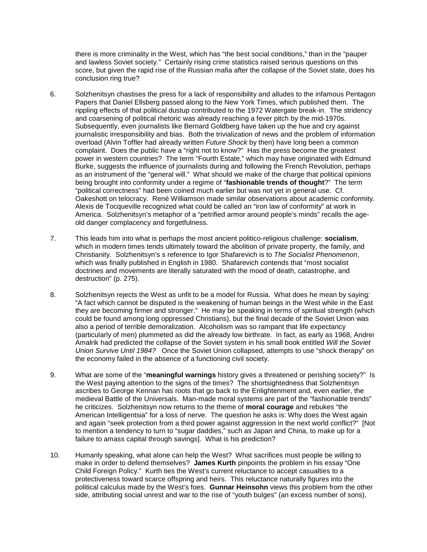there is more criminality in the West, which has "the best social conditions," than in the "pauper and lawless Soviet society." Certainly rising crime statistics raised serious questions on this score, but given the rapid rise of the Russian mafia after the collapse of the Soviet state, does his conclusion ring true?

- 6. Solzhenitsyn chastises the press for a lack of responsibility and alludes to the infamous Pentagon Papers that Daniel Ellsberg passed along to the New York Times, which published them. The rippling effects of that political dustup contributed to the 1972 Watergate break-in. The stridency and coarsening of political rhetoric was already reaching a fever pitch by the mid-1970s. Subsequently, even journalists like Bernard Goldberg have taken up the hue and cry against journalistic irresponsibility and bias. Both the trivialization of news and the problem of information overload (Alvin Toffler had already written *Future Shock* by then) have long been a common complaint. Does the public have a "right not to know?" Has the press become the greatest power in western countries? The term "Fourth Estate," which may have originated with Edmund Burke, suggests the influence of journalists during and following the French Revolution, perhaps as an instrument of the "general will." What should we make of the charge that political opinions being brought into conformity under a regime of "**fashionable trends of thought**?" The term "political correctness" had been coined much earlier but was not yet in general use. Cf. Oakeshott on telocracy. René Williamson made similar observations about academic conformity. Alexis de Tocqueville recognized what could be called an "iron law of conformity" at work in America. Solzhenitsyn's metaphor of a "petrified armor around people's minds" recalls the ageold danger complacency and forgetfulness.
- 7. This leads him into what is perhaps the most ancient politico-religious challenge: **socialism**, which in modern times tends ultimately toward the abolition of private property, the family, and Christianity. Solzhenitsyn's s reference to Igor Shafarevich is to *The Socialist Phenomenon*, which was finally published in English in 1980. Shafarevich contends that "most socialist doctrines and movements are literally saturated with the mood of death, catastrophe, and destruction" (p. 275).
- 8. Solzhenitsyn rejects the West as unfit to be a model for Russia. What does he mean by saying: "A fact which cannot be disputed is the weakening of human beings in the West while in the East they are becoming firmer and stronger." He may be speaking in terms of spiritual strength (which could be found among long oppressed Christians), but the final decade of the Soviet Union was also a period of terrible demoralization. Alcoholism was so rampant that life expectancy (particularly of men) plummeted as did the already low birthrate. In fact, as early as 1968, Andrei Amalrik had predicted the collapse of the Soviet system in his small book entitled *Will the Soviet Union Survive Until 1984?* Once the Soviet Union collapsed, attempts to use "shock therapy" on the economy failed in the absence of a functioning civil society.
- 9. What are some of the "**meaningful warnings** history gives a threatened or perishing society?" Is the West paying attention to the signs of the times? The shortsightedness that Solzhenitsyn ascribes to George Kennan has roots that go back to the Enlightenment and, even earlier, the medieval Battle of the Universals. Man-made moral systems are part of the "fashionable trends" he criticizes. Solzhenitsyn now returns to the theme of **moral courage** and rebukes "the American Intelligentsia" for a loss of nerve. The question he asks is: Why does the West again and again "seek protection from a third power against aggression in the next world conflict?" [Not to mention a tendency to turn to "sugar daddies," such as Japan and China, to make up for a failure to amass capital through savings]. What is his prediction?
- 10. Humanly speaking, what alone can help the West? What sacrifices must people be willing to make in order to defend themselves? **James Kurth** pinpoints the problem in his essay "One Child Foreign Policy." Kurth ties the West's current reluctance to accept casualties to a protectiveness toward scarce offspring and heirs. This reluctance naturally figures into the political calculus made by the West's foes. **Gunnar Heinsohn** views this problem from the other side, attributing social unrest and war to the rise of "youth bulges" (an excess number of sons),